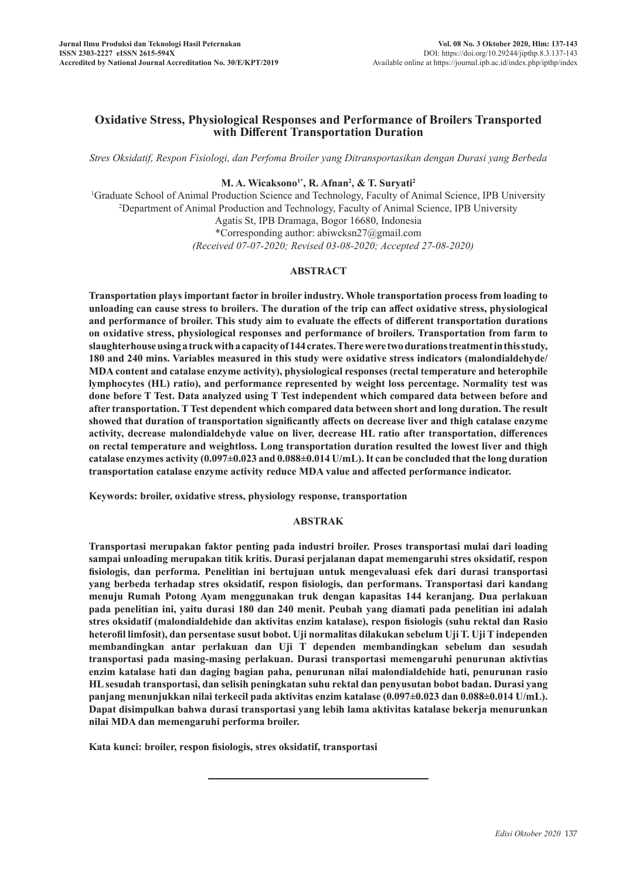# **Oxidative Stress, Physiological Responses and Performance of Broilers Transported with Different Transportation Duration**

*Stres Oksidatif, Respon Fisiologi, dan Perfoma Broiler yang Ditransportasikan dengan Durasi yang Berbeda*

# **M. A. Wicaksono1\*, R. Afnan2 , & T. Suryati2**

<sup>1</sup>Graduate School of Animal Production Science and Technology, Faculty of Animal Science, IPB University <sup>2</sup>Department of Animal Production and Technology, Faculty of Animal Science, IPB University Department of Animal Production and Technology, Faculty of Animal Science, IPB University Agatis St, IPB Dramaga, Bogor 16680, Indonesia \*Corresponding author: abiwcksn27@gmail.com *(Received 07-07-2020; Revised 03-08-2020; Accepted 27-08-2020)*

## **ABSTRACT**

**Transportation plays important factor in broiler industry. Whole transportation process from loading to unloading can cause stress to broilers. The duration of the trip can affect oxidative stress, physiological and performance of broiler. This study aim to evaluate the effects of different transportation durations on oxidative stress, physiological responses and performance of broilers. Transportation from farm to slaughterhouse using a truck with a capacity of 144 crates. There were two durations treatment in this study, 180 and 240 mins. Variables measured in this study were oxidative stress indicators (malondialdehyde/ MDA content and catalase enzyme activity), physiological responses (rectal temperature and heterophile lymphocytes (HL) ratio), and performance represented by weight loss percentage. Normality test was done before T Test. Data analyzed using T Test independent which compared data between before and after transportation. T Test dependent which compared data between short and long duration. The result showed that duration of transportation significantly affects on decrease liver and thigh catalase enzyme activity, decrease malondialdehyde value on liver, decrease HL ratio after transportation, differences on rectal temperature and weightloss. Long transportation duration resulted the lowest liver and thigh catalase enzymes activity (0.097±0.023 and 0.088±0.014 U/mL). It can be concluded that the long duration transportation catalase enzyme activity reduce MDA value and affected performance indicator.**

**Keywords: broiler, oxidative stress, physiology response, transportation**

#### **ABSTRAK**

**Transportasi merupakan faktor penting pada industri broiler. Proses transportasi mulai dari loading sampai unloading merupakan titik kritis. Durasi perjalanan dapat memengaruhi stres oksidatif, respon fisiologis, dan performa. Penelitian ini bertujuan untuk mengevaluasi efek dari durasi transportasi yang berbeda terhadap stres oksidatif, respon fisiologis, dan performans. Transportasi dari kandang menuju Rumah Potong Ayam menggunakan truk dengan kapasitas 144 keranjang. Dua perlakuan pada penelitian ini, yaitu durasi 180 dan 240 menit. Peubah yang diamati pada penelitian ini adalah stres oksidatif (malondialdehide dan aktivitas enzim katalase), respon fisiologis (suhu rektal dan Rasio heterofil limfosit), dan persentase susut bobot. Uji normalitas dilakukan sebelum Uji T. Uji T independen membandingkan antar perlakuan dan Uji T dependen membandingkan sebelum dan sesudah transportasi pada masing-masing perlakuan. Durasi transportasi memengaruhi penurunan aktivtias enzim katalase hati dan daging bagian paha, penurunan nilai malondialdehide hati, penurunan rasio HL sesudah transportasi, dan selisih peningkatan suhu rektal dan penyusutan bobot badan. Durasi yang panjang menunjukkan nilai terkecil pada aktivitas enzim katalase (0.097±0.023 dan 0.088±0.014 U/mL). Dapat disimpulkan bahwa durasi transportasi yang lebih lama aktivitas katalase bekerja menurunkan nilai MDA dan memengaruhi performa broiler.**

**Kata kunci: broiler, respon fisiologis, stres oksidatif, transportasi**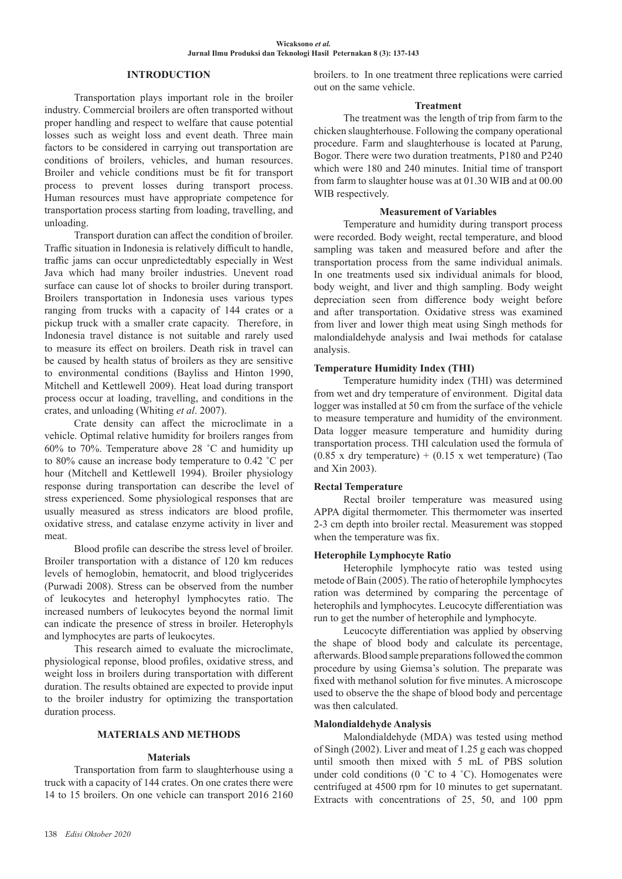# **INTRODUCTION**

Transportation plays important role in the broiler industry. Commercial broilers are often transported without proper handling and respect to welfare that cause potential losses such as weight loss and event death. Three main factors to be considered in carrying out transportation are conditions of broilers, vehicles, and human resources. Broiler and vehicle conditions must be fit for transport process to prevent losses during transport process. Human resources must have appropriate competence for transportation process starting from loading, travelling, and unloading.

Transport duration can affect the condition of broiler. Traffic situation in Indonesia is relatively difficult to handle, traffic jams can occur unpredictedtably especially in West Java which had many broiler industries. Unevent road surface can cause lot of shocks to broiler during transport. Broilers transportation in Indonesia uses various types ranging from trucks with a capacity of 144 crates or a pickup truck with a smaller crate capacity. Therefore, in Indonesia travel distance is not suitable and rarely used to measure its effect on broilers. Death risk in travel can be caused by health status of broilers as they are sensitive to environmental conditions (Bayliss and Hinton 1990, Mitchell and Kettlewell 2009). Heat load during transport process occur at loading, travelling, and conditions in the crates, and unloading (Whiting *et al*. 2007).

Crate density can affect the microclimate in a vehicle. Optimal relative humidity for broilers ranges from 60% to 70%. Temperature above 28 ˚C and humidity up to 80% cause an increase body temperature to 0.42 **˚**C per hour (Mitchell and Kettlewell 1994). Broiler physiology response during transportation can describe the level of stress experienced. Some physiological responses that are usually measured as stress indicators are blood profile, oxidative stress, and catalase enzyme activity in liver and meat.

Blood profile can describe the stress level of broiler. Broiler transportation with a distance of 120 km reduces levels of hemoglobin, hematocrit, and blood triglycerides (Purwadi 2008). Stress can be observed from the number of leukocytes and heterophyl lymphocytes ratio. The increased numbers of leukocytes beyond the normal limit can indicate the presence of stress in broiler. Heterophyls and lymphocytes are parts of leukocytes.

This research aimed to evaluate the microclimate, physiological reponse, blood profiles, oxidative stress, and weight loss in broilers during transportation with different duration. The results obtained are expected to provide input to the broiler industry for optimizing the transportation duration process.

#### **MATERIALS AND METHODS**

#### **Materials**

Transportation from farm to slaughterhouse using a truck with a capacity of 144 crates. On one crates there were 14 to 15 broilers. On one vehicle can transport 2016 2160 broilers. to In one treatment three replications were carried out on the same vehicle.

#### **Treatment**

The treatment was the length of trip from farm to the chicken slaughterhouse. Following the company operational procedure. Farm and slaughterhouse is located at Parung, Bogor. There were two duration treatments, P180 and P240 which were 180 and 240 minutes. Initial time of transport from farm to slaughter house was at 01.30 WIB and at 00.00 WIB respectively.

#### **Measurement of Variables**

Temperature and humidity during transport process were recorded. Body weight, rectal temperature, and blood sampling was taken and measured before and after the transportation process from the same individual animals. In one treatments used six individual animals for blood, body weight, and liver and thigh sampling. Body weight depreciation seen from difference body weight before and after transportation. Oxidative stress was examined from liver and lower thigh meat using Singh methods for malondialdehyde analysis and Iwai methods for catalase analysis.

## **Temperature Humidity Index (THI)**

Temperature humidity index (THI) was determined from wet and dry temperature of environment. Digital data logger was installed at 50 cm from the surface of the vehicle to measure temperature and humidity of the environment. Data logger measure temperature and humidity during transportation process. THI calculation used the formula of  $(0.85 \times$  dry temperature) +  $(0.15 \times$  wet temperature) (Tao and Xin 2003).

## **Rectal Temperature**

Rectal broiler temperature was measured using APPA digital thermometer. This thermometer was inserted 2-3 cm depth into broiler rectal. Measurement was stopped when the temperature was fix.

#### **Heterophile Lymphocyte Ratio**

Heterophile lymphocyte ratio was tested using metode of Bain (2005). The ratio of heterophile lymphocytes ration was determined by comparing the percentage of heterophils and lymphocytes. Leucocyte differentiation was run to get the number of heterophile and lymphocyte.

Leucocyte differentiation was applied by observing the shape of blood body and calculate its percentage, afterwards. Blood sample preparations followed the common procedure by using Giemsa's solution. The preparate was fixed with methanol solution for five minutes. A microscope used to observe the the shape of blood body and percentage was then calculated.

## **Malondialdehyde Analysis**

Malondialdehyde (MDA) was tested using method of Singh (2002). Liver and meat of 1.25 g each was chopped until smooth then mixed with 5 mL of PBS solution under cold conditions (0 °C to 4 °C). Homogenates were centrifuged at 4500 rpm for 10 minutes to get supernatant. Extracts with concentrations of 25, 50, and 100 ppm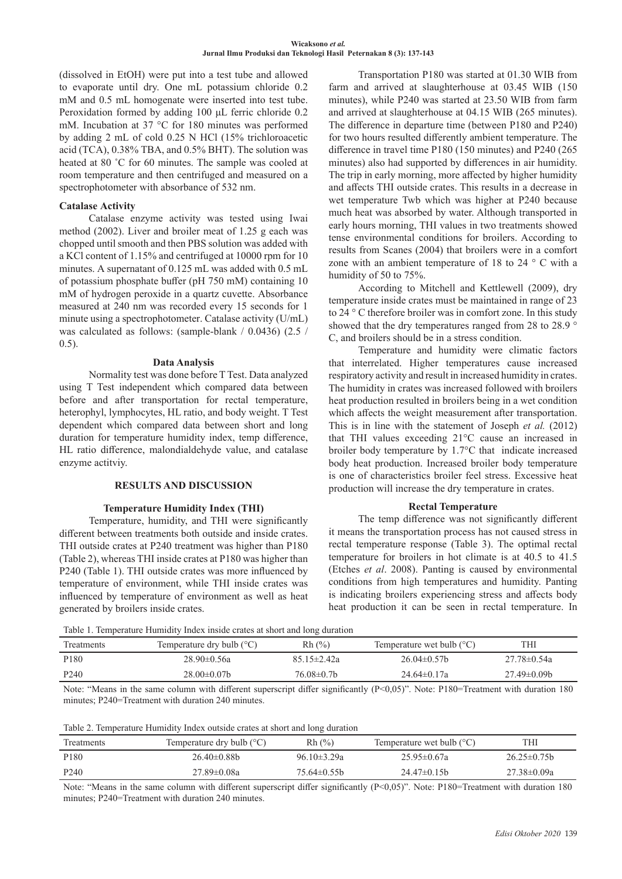(dissolved in EtOH) were put into a test tube and allowed to evaporate until dry. One mL potassium chloride 0.2 mM and 0.5 mL homogenate were inserted into test tube. Peroxidation formed by adding 100 μL ferric chloride 0.2 mM. Incubation at 37 °C for 180 minutes was performed by adding 2 mL of cold 0.25 N HCl (15% trichloroacetic acid (TCA), 0.38% TBA, and 0.5% BHT). The solution was heated at 80 °C for 60 minutes. The sample was cooled at room temperature and then centrifuged and measured on a spectrophotometer with absorbance of 532 nm.

## **Catalase Activity**

Catalase enzyme activity was tested using Iwai method (2002). Liver and broiler meat of 1.25 g each was chopped until smooth and then PBS solution was added with a KCl content of 1.15% and centrifuged at 10000 rpm for 10 minutes. A supernatant of 0.125 mL was added with 0.5 mL of potassium phosphate buffer (pH 750 mM) containing 10 mM of hydrogen peroxide in a quartz cuvette. Absorbance measured at 240 nm was recorded every 15 seconds for 1 minute using a spectrophotometer. Catalase activity (U/mL) was calculated as follows: (sample-blank / 0.0436) (2.5 / 0.5).

## **Data Analysis**

Normality test was done before T Test. Data analyzed using T Test independent which compared data between before and after transportation for rectal temperature, heterophyl, lymphocytes, HL ratio, and body weight. T Test dependent which compared data between short and long duration for temperature humidity index, temp difference, HL ratio difference, malondialdehyde value, and catalase enzyme actitviy.

## **RESULTS AND DISCUSSION**

## **Temperature Humidity Index (THI)**

Temperature, humidity, and THI were significantly different between treatments both outside and inside crates. THI outside crates at P240 treatment was higher than P180 (Table 2), whereas THI inside crates at P180 was higher than P240 (Table 1). THI outside crates was more influenced by temperature of environment, while THI inside crates was influenced by temperature of environment as well as heat generated by broilers inside crates.

Transportation P180 was started at 01.30 WIB from farm and arrived at slaughterhouse at 03.45 WIB (150 minutes), while P240 was started at 23.50 WIB from farm and arrived at slaughterhouse at 04.15 WIB (265 minutes). The difference in departure time (between P180 and P240) for two hours resulted differently ambient temperature. The difference in travel time P180 (150 minutes) and P240 (265 minutes) also had supported by differences in air humidity. The trip in early morning, more affected by higher humidity and affects THI outside crates. This results in a decrease in wet temperature Twb which was higher at P240 because much heat was absorbed by water. Although transported in early hours morning, THI values in two treatments showed tense environmental conditions for broilers. According to results from Scanes (2004) that broilers were in a comfort zone with an ambient temperature of 18 to 24 ° C with a humidity of 50 to 75%.

According to Mitchell and Kettlewell (2009), dry temperature inside crates must be maintained in range of 23 to 24 ° C therefore broiler was in comfort zone. In this study showed that the dry temperatures ranged from 28 to 28.9 ° C, and broilers should be in a stress condition.

Temperature and humidity were climatic factors that interrelated. Higher temperatures cause increased respiratory activity and result in increased humidity in crates. The humidity in crates was increased followed with broilers heat production resulted in broilers being in a wet condition which affects the weight measurement after transportation. This is in line with the statement of Joseph *et al.* (2012) that THI values exceeding 21°C cause an increased in broiler body temperature by 1.7°C that indicate increased body heat production. Increased broiler body temperature is one of characteristics broiler feel stress. Excessive heat production will increase the dry temperature in crates.

## **Rectal Temperature**

The temp difference was not significantly different it means the transportation process has not caused stress in rectal temperature response (Table 3). The optimal rectal temperature for broilers in hot climate is at 40.5 to 41.5 (Etches *et al*. 2008). Panting is caused by environmental conditions from high temperatures and humidity. Panting is indicating broilers experiencing stress and affects body heat production it can be seen in rectal temperature. In

Table 1. Temperature Humidity Index inside crates at short and long duration

| Treatments       | Temperature dry bulb $(^{\circ}C)$ | Rh(%)             | Temperature wet bulb $(^{\circ}C)$ | ГHІ                |  |
|------------------|------------------------------------|-------------------|------------------------------------|--------------------|--|
| P <sub>180</sub> | $28.90 \pm 0.56a$                  | $85.15 \pm 2.42a$ | $26.04\pm0.57$ b                   | $27.78 \pm 0.54a$  |  |
| P <sub>240</sub> | $28.00 \pm 0.07$ b                 | $76.08 \pm 0.7$ b | $24.64 \pm 0.17$ a                 | $27.49 \pm 0.09 b$ |  |
|                  |                                    |                   |                                    |                    |  |

Note: "Means in the same column with different superscript differ significantly (P<0,05)". Note: P180=Treatment with duration 180 minutes; P240=Treatment with duration 240 minutes.

| Treatments       | Temperature dry bulb $(°C)$ | Rh(%)             | Temperature wet bulb $(^{\circ}C)$ | THI              |
|------------------|-----------------------------|-------------------|------------------------------------|------------------|
| P <sub>180</sub> | $26.40\pm0.88b$             | $96.10 \pm 3.29a$ | $25.95 \pm 0.67a$                  | $26.25 \pm 0.75$ |
| P <sub>240</sub> | $27.89 \pm 0.08a$           | $75.64\pm0.55b$   | $24.47\pm0.15b$                    | 27.38±0.09a      |

Note: "Means in the same column with different superscript differ significantly (P<0,05)". Note: P180=Treatment with duration 180 minutes; P240=Treatment with duration 240 minutes.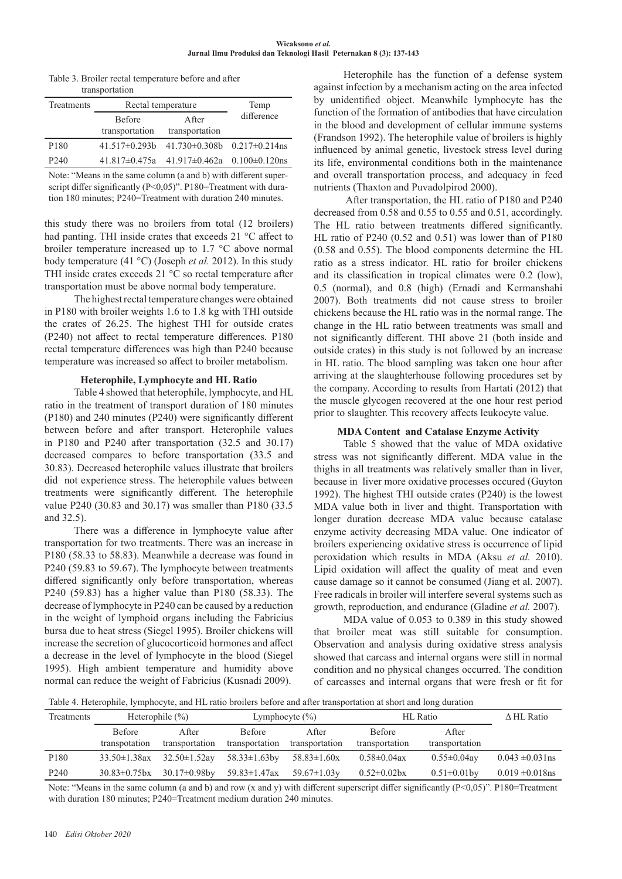#### **Wicaksono** *et al.*  **Jurnal Ilmu Produksi dan Teknologi Hasil Peternakan 8 (3): 137-143**

| Table 3. Broiler rectal temperature before and after |
|------------------------------------------------------|
| transportation                                       |

| Treatments       | Rectal temperature |                                                        | Temp       |
|------------------|--------------------|--------------------------------------------------------|------------|
|                  | <b>Before</b>      | After                                                  | difference |
|                  | transportation     | transportation                                         |            |
| P <sub>180</sub> |                    | $41.517\pm0.293b$ $41.730\pm0.308b$ $0.217\pm0.214$ ns |            |
| P <sub>240</sub> |                    | $41.817\pm0.475a$ $41.917\pm0.462a$ $0.100\pm0.120ns$  |            |

Note: "Means in the same column (a and b) with different superscript differ significantly (P<0,05)". P180=Treatment with duration 180 minutes; P240=Treatment with duration 240 minutes.

this study there was no broilers from total (12 broilers) had panting. THI inside crates that exceeds 21 °C affect to broiler temperature increased up to 1.7 °C above normal body temperature (41 °C) (Joseph *et al.* 2012). In this study THI inside crates exceeds 21 °C so rectal temperature after transportation must be above normal body temperature.

The highest rectal temperature changes were obtained in P180 with broiler weights 1.6 to 1.8 kg with THI outside the crates of 26.25. The highest THI for outside crates (P240) not affect to rectal temperature differences. P180 rectal temperature differences was high than P240 because temperature was increased so affect to broiler metabolism.

## **Heterophile, Lymphocyte and HL Ratio**

Table 4 showed that heterophile, lymphocyte, and HL ratio in the treatment of transport duration of 180 minutes (P180) and 240 minutes (P240) were significantly different between before and after transport. Heterophile values in P180 and P240 after transportation (32.5 and 30.17) decreased compares to before transportation (33.5 and 30.83). Decreased heterophile values illustrate that broilers did not experience stress. The heterophile values between treatments were significantly different. The heterophile value P240 (30.83 and 30.17) was smaller than P180 (33.5 and 32.5).

There was a difference in lymphocyte value after transportation for two treatments. There was an increase in P180 (58.33 to 58.83). Meanwhile a decrease was found in P240 (59.83 to 59.67). The lymphocyte between treatments differed significantly only before transportation, whereas P240 (59.83) has a higher value than P180 (58.33). The decrease of lymphocyte in P240 can be caused by a reduction in the weight of lymphoid organs including the Fabricius bursa due to heat stress (Siegel 1995). Broiler chickens will increase the secretion of glucocorticoid hormones and affect a decrease in the level of lymphocyte in the blood (Siegel 1995). High ambient temperature and humidity above normal can reduce the weight of Fabricius (Kusnadi 2009).

Heterophile has the function of a defense system against infection by a mechanism acting on the area infected by unidentified object. Meanwhile lymphocyte has the function of the formation of antibodies that have circulation in the blood and development of cellular immune systems (Frandson 1992). The heterophile value of broilers is highly influenced by animal genetic, livestock stress level during its life, environmental conditions both in the maintenance and overall transportation process, and adequacy in feed nutrients (Thaxton and Puvadolpirod 2000).

 After transportation, the HL ratio of P180 and P240 decreased from 0.58 and 0.55 to 0.55 and 0.51, accordingly. The HL ratio between treatments differed significantly. HL ratio of P240 (0.52 and 0.51) was lower than of P180 (0.58 and 0.55). The blood components determine the HL ratio as a stress indicator. HL ratio for broiler chickens and its classification in tropical climates were 0.2 (low), 0.5 (normal), and 0.8 (high) (Ernadi and Kermanshahi 2007). Both treatments did not cause stress to broiler chickens because the HL ratio was in the normal range. The change in the HL ratio between treatments was small and not significantly different. THI above 21 (both inside and outside crates) in this study is not followed by an increase in HL ratio. The blood sampling was taken one hour after arriving at the slaughterhouse following procedures set by the company. According to results from Hartati (2012) that the muscle glycogen recovered at the one hour rest period prior to slaughter. This recovery affects leukocyte value.

## **MDA Content and Catalase Enzyme Activity**

Table 5 showed that the value of MDA oxidative stress was not significantly different. MDA value in the thighs in all treatments was relatively smaller than in liver, because in liver more oxidative processes occured (Guyton 1992). The highest THI outside crates (P240) is the lowest MDA value both in liver and thight. Transportation with longer duration decrease MDA value because catalase enzyme activity decreasing MDA value. One indicator of broilers experiencing oxidative stress is occurrence of lipid peroxidation which results in MDA (Aksu *et al.* 2010). Lipid oxidation will affect the quality of meat and even cause damage so it cannot be consumed (Jiang et al. 2007). Free radicals in broiler will interfere several systems such as growth, reproduction, and endurance (Gladine *et al.* 2007).

MDA value of 0.053 to 0.389 in this study showed that broiler meat was still suitable for consumption. Observation and analysis during oxidative stress analysis showed that carcass and internal organs were still in normal condition and no physical changes occurred. The condition of carcasses and internal organs that were fresh or fit for

Table 4. Heterophile, lymphocyte, and HL ratio broilers before and after transportation at short and long duration

| Treatments       | Heterophile $(\% )$            |                          | Lymphocyte $(\%)$        |                         | HL Ratio                        |                         | $\triangle$ HL Ratio |
|------------------|--------------------------------|--------------------------|--------------------------|-------------------------|---------------------------------|-------------------------|----------------------|
|                  | <b>Before</b><br>transpotation | A fter<br>transportation | Before<br>transportation | After<br>transportation | <b>Before</b><br>transportation | After<br>transportation |                      |
| P <sub>180</sub> | $33.50 \pm 1.38$ ax            | $32.50 \pm 1.52$ ay      | $58.33 \pm 1.63$ by      | $58.83 \pm 1.60x$       | $0.58 \pm 0.04$ ax              | $0.55 \pm 0.04$ ay      | $0.043 \pm 0.031$ ns |
| P <sub>240</sub> | $30.83 \pm 0.75$ bx            | 30.17±0.98by             | 59.83±1.47ax             | 59.67 $\pm$ 1.03 $v$    | $0.52 \pm 0.02$ bx              | $0.51 \pm 0.01$ by      | $0.019 \pm 0.018$ ns |

Note: "Means in the same column (a and b) and row (x and y) with different superscript differ significantly (P<0,05)". P180=Treatment with duration 180 minutes; P240=Treatment medium duration 240 minutes.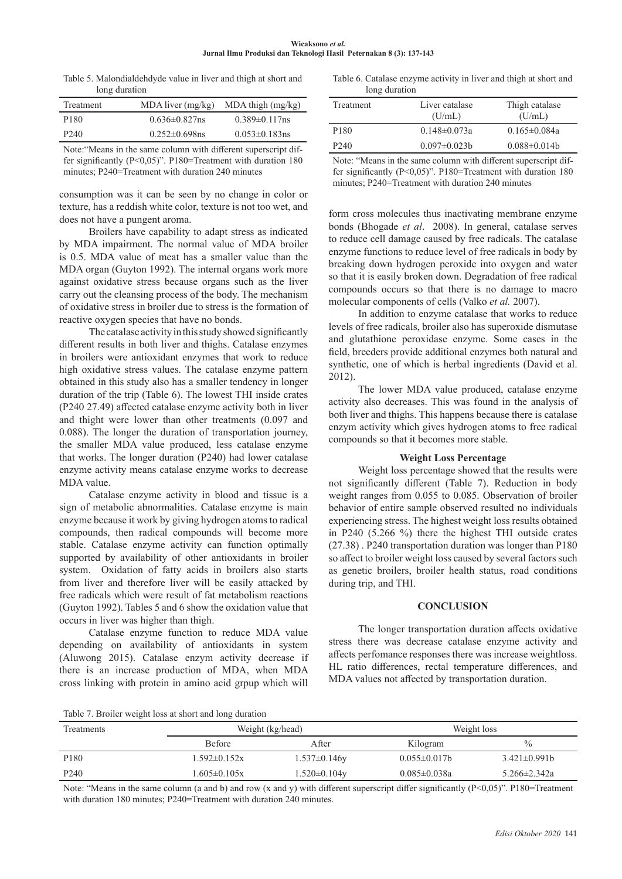| Wicaksono et al.                                                   |  |  |  |  |  |
|--------------------------------------------------------------------|--|--|--|--|--|
| Jurnal Ilmu Produksi dan Teknologi Hasil Peternakan 8 (3): 137-143 |  |  |  |  |  |

Table 5. Malondialdehdyde value in liver and thigh at short and long duration

| Treatment        | $MDA$ liver $(mg/kg)$ | $MDA$ thigh $(mg/kg)$ |
|------------------|-----------------------|-----------------------|
| P <sub>180</sub> | $0.636 \pm 0.827$ ns  | $0.389 \pm 0.117$ ns  |
| P <sub>240</sub> | $0.252 \pm 0.698$ ns  | $0.053 \pm 0.183$ ns  |
|                  |                       |                       |

Note:"Means in the same column with different superscript differ significantly (P<0,05)". P180=Treatment with duration 180 minutes; P240=Treatment with duration 240 minutes

consumption was it can be seen by no change in color or texture, has a reddish white color, texture is not too wet, and does not have a pungent aroma.

Broilers have capability to adapt stress as indicated by MDA impairment. The normal value of MDA broiler is 0.5. MDA value of meat has a smaller value than the MDA organ (Guyton 1992). The internal organs work more against oxidative stress because organs such as the liver carry out the cleansing process of the body. The mechanism of oxidative stress in broiler due to stress is the formation of reactive oxygen species that have no bonds.

The catalase activity in this study showed significantly different results in both liver and thighs. Catalase enzymes in broilers were antioxidant enzymes that work to reduce high oxidative stress values. The catalase enzyme pattern obtained in this study also has a smaller tendency in longer duration of the trip (Table 6). The lowest THI inside crates (P240 27.49) affected catalase enzyme activity both in liver and thight were lower than other treatments (0.097 and 0.088). The longer the duration of transportation journey, the smaller MDA value produced, less catalase enzyme that works. The longer duration (P240) had lower catalase enzyme activity means catalase enzyme works to decrease MDA value.

Catalase enzyme activity in blood and tissue is a sign of metabolic abnormalities. Catalase enzyme is main enzyme because it work by giving hydrogen atoms to radical compounds, then radical compounds will become more stable. Catalase enzyme activity can function optimally supported by availability of other antioxidants in broiler system. Oxidation of fatty acids in broilers also starts from liver and therefore liver will be easily attacked by free radicals which were result of fat metabolism reactions (Guyton 1992). Tables 5 and 6 show the oxidation value that occurs in liver was higher than thigh.

Catalase enzyme function to reduce MDA value depending on availability of antioxidants in system (Aluwong 2015). Catalase enzym activity decrease if there is an increase production of MDA, when MDA cross linking with protein in amino acid grpup which will

Table 6. Catalase enzyme activity in liver and thigh at short and long duration

| Treatment        | Liver catalase<br>(U/mL) | Thigh catalase<br>(U/mL) |
|------------------|--------------------------|--------------------------|
| P <sub>180</sub> | $0.148 \pm 0.073a$       | $0.165 \pm 0.084a$       |
| P <sub>240</sub> | $0.097 \pm 0.023 b$      | $0.088 \pm 0.014b$       |
|                  |                          |                          |

Note: "Means in the same column with different superscript differ significantly (P<0,05)". P180=Treatment with duration 180 minutes; P240=Treatment with duration 240 minutes

form cross molecules thus inactivating membrane enzyme bonds (Bhogade *et al*. 2008). In general, catalase serves to reduce cell damage caused by free radicals. The catalase enzyme functions to reduce level of free radicals in body by breaking down hydrogen peroxide into oxygen and water so that it is easily broken down. Degradation of free radical compounds occurs so that there is no damage to macro molecular components of cells (Valko *et al.* 2007).

In addition to enzyme catalase that works to reduce levels of free radicals, broiler also has superoxide dismutase and glutathione peroxidase enzyme. Some cases in the field, breeders provide additional enzymes both natural and synthetic, one of which is herbal ingredients (David et al. 2012).

The lower MDA value produced, catalase enzyme activity also decreases. This was found in the analysis of both liver and thighs. This happens because there is catalase enzym activity which gives hydrogen atoms to free radical compounds so that it becomes more stable.

#### **Weight Loss Percentage**

Weight loss percentage showed that the results were not significantly different (Table 7). Reduction in body weight ranges from 0.055 to 0.085. Observation of broiler behavior of entire sample observed resulted no individuals experiencing stress. The highest weight loss results obtained in P240 (5.266 %) there the highest THI outside crates (27.38) . P240 transportation duration was longer than P180 so affect to broiler weight loss caused by several factors such as genetic broilers, broiler health status, road conditions during trip, and THI.

#### **CONCLUSION**

The longer transportation duration affects oxidative stress there was decrease catalase enzyme activity and affects perfomance responses there was increase weightloss. HL ratio differences, rectal temperature differences, and MDA values not affected by transportation duration.

Table 7. Broiler weight loss at short and long duration

| <b>Treatments</b> | Weight (kg/head)   |                     | Weight loss         |                    |
|-------------------|--------------------|---------------------|---------------------|--------------------|
|                   | <b>Before</b>      | After               | Kilogram            | $\%$               |
| P <sub>180</sub>  | $1.592 \pm 0.152x$ | $1.537 \pm 0.146y$  | $0.055 \pm 0.017 b$ | $3.421 \pm 0.991b$ |
| P <sub>240</sub>  | $1.605 \pm 0.105x$ | $1.520 \pm 0.104$ y | $0.085 \pm 0.038a$  | 5.266±2.342a       |

Note: "Means in the same column (a and b) and row (x and y) with different superscript differ significantly (P<0,05)". P180=Treatment with duration 180 minutes; P240=Treatment with duration 240 minutes.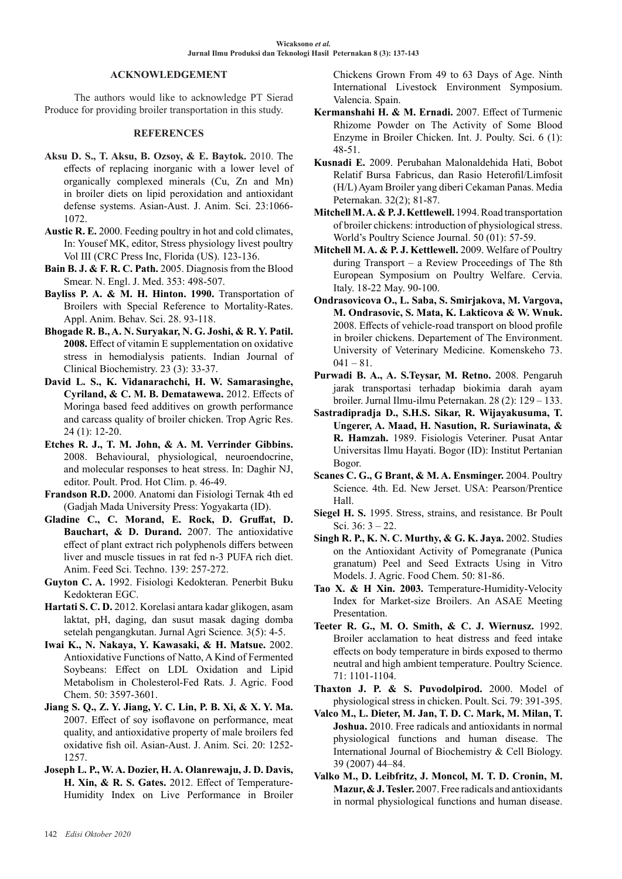## **ACKNOWLEDGEMENT**

The authors would like to acknowledge PT Sierad Produce for providing broiler transportation in this study.

## **REFERENCES**

- **Aksu D. S., T. Aksu, B. Ozsoy, & E. Baytok.** 2010. The effects of replacing inorganic with a lower level of organically complexed minerals (Cu, Zn and Mn) in broiler diets on lipid peroxidation and antioxidant defense systems. Asian-Aust. J. Anim. Sci. 23:1066- 1072.
- **Austic R. E.** 2000. Feeding poultry in hot and cold climates, In: Yousef MK, editor, Stress physiology livest poultry Vol III (CRC Press Inc, Florida (US). 123-136.
- **Bain B. J. & F. R. C. Path.** 2005. Diagnosis from the Blood Smear. N. Engl. J. Med. 353: 498-507.
- Bayliss P. A. & M. H. Hinton. 1990. Transportation of Broilers with Special Reference to Mortality-Rates. Appl. Anim. Behav. Sci. 28. 93-118.
- **Bhogade R. B., A. N. Suryakar, N. G. Joshi, & R. Y. Patil. 2008.** Effect of vitamin E supplementation on oxidative stress in hemodialysis patients. Indian Journal of Clinical Biochemistry. 23 (3): 33-37.
- **David L. S., K. Vidanarachchi, H. W. Samarasinghe, Cyriland, & C. M. B. Dematawewa.** 2012. Effects of Moringa based feed additives on growth performance and carcass quality of broiler chicken. Trop Agric Res. 24 (1): 12-20.
- **Etches R. J., T. M. John, & A. M. Verrinder Gibbins.**  2008. Behavioural, physiological, neuroendocrine, and molecular responses to heat stress. In: Daghir NJ, editor. Poult. Prod. Hot Clim. p. 46-49.
- **Frandson R.D.** 2000. Anatomi dan Fisiologi Ternak 4th ed (Gadjah Mada University Press: Yogyakarta (ID).
- **Gladine C., C. Morand, E. Rock, D. Gruffat, D. Bauchart, & D. Durand.** 2007. The antioxidative effect of plant extract rich polyphenols differs between liver and muscle tissues in rat fed n-3 PUFA rich diet. Anim. Feed Sci. Techno. 139: 257-272.
- **Guyton C. A.** 1992. Fisiologi Kedokteran. Penerbit Buku Kedokteran EGC.
- **Hartati S. C. D.** 2012. Korelasi antara kadar glikogen, asam laktat, pH, daging, dan susut masak daging domba setelah pengangkutan. Jurnal Agri Science*.* 3(5): 4-5.
- **Iwai K., N. Nakaya, Y. Kawasaki, & H. Matsue.** 2002. Antioxidative Functions of Natto, A Kind of Fermented Soybeans: Effect on LDL Oxidation and Lipid Metabolism in Cholesterol-Fed Rats. J. Agric. Food Chem. 50: 3597-3601.
- **Jiang S. Q., Z. Y. Jiang, Y. C. Lin, P. B. Xi, & X. Y. Ma.**  2007. Effect of soy isoflavone on performance, meat quality, and antioxidative property of male broilers fed oxidative fish oil. Asian-Aust. J. Anim. Sci. 20: 1252- 1257.
- **Joseph L. P., W. A. Dozier, H. A. Olanrewaju, J. D. Davis, H. Xin, & R. S. Gates.** 2012. Effect of Temperature-Humidity Index on Live Performance in Broiler

Chickens Grown From 49 to 63 Days of Age. Ninth International Livestock Environment Symposium. Valencia. Spain.

- **Kermanshahi H. & M. Ernadi.** 2007. Effect of Turmenic Rhizome Powder on The Activity of Some Blood Enzyme in Broiler Chicken. Int. J. Poulty. Sci. 6 (1): 48-51.
- **Kusnadi E.** 2009. Perubahan Malonaldehida Hati, Bobot Relatif Bursa Fabricus, dan Rasio Heterofil/Limfosit (H/L) Ayam Broiler yang diberi Cekaman Panas. Media Peternakan. 32(2); 81-87.
- **Mitchell M. A. & P. J. Kettlewell.** 1994. Road transportation of broiler chickens: introduction of physiological stress. World's Poultry Science Journal. 50 (01): 57-59.
- **Mitchell M. A. & P. J. Kettlewell.** 2009. Welfare of Poultry during Transport – a Review Proceedings of The 8th European Symposium on Poultry Welfare. Cervia. Italy. 18-22 May. 90-100.
- **Ondrasovicova O., L. Saba, S. Smirjakova, M. Vargova, M. Ondrasovic, S. Mata, K. Lakticova & W. Wnuk.**  2008. Effects of vehicle-road transport on blood profile in broiler chickens. Departement of The Environment. University of Veterinary Medicine. Komenskeho 73.  $041 - 81.$
- **Purwadi B. A., A. S.Teysar, M. Retno.** 2008. Pengaruh jarak transportasi terhadap biokimia darah ayam broiler. Jurnal Ilmu-ilmu Peternakan. 28 (2): 129 – 133.
- **Sastradipradja D., S.H.S. Sikar, R. Wijayakusuma, T. Ungerer, A. Maad, H. Nasution, R. Suriawinata, & R. Hamzah.** 1989. Fisiologis Veteriner. Pusat Antar Universitas Ilmu Hayati. Bogor (ID): Institut Pertanian Bogor.
- **Scanes C. G., G Brant, & M. A. Ensminger.** 2004. Poultry Science. 4th. Ed. New Jerset. USA: Pearson/Prentice Hall.
- **Siegel H. S.** 1995. Stress, strains, and resistance. Br Poult Sci. 36: 3 – 22.
- **Singh R. P., K. N. C. Murthy, & G. K. Jaya.** 2002. Studies on the Antioxidant Activity of Pomegranate (Punica granatum) Peel and Seed Extracts Using in Vitro Models. J. Agric. Food Chem. 50: 81-86.
- **Tao X. & H Xin. 2003.** Temperature-Humidity-Velocity Index for Market-size Broilers. An ASAE Meeting Presentation.
- **Teeter R. G., M. O. Smith, & C. J. Wiernusz.** 1992. Broiler acclamation to heat distress and feed intake effects on body temperature in birds exposed to thermo neutral and high ambient temperature. Poultry Science. 71: 1101-1104.
- **Thaxton J. P. & S. Puvodolpirod.** 2000. Model of physiological stress in chicken. Poult. Sci. 79: 391-395.
- **Valco M., L. Dieter, M. Jan, T. D. C. Mark, M. Milan, T. Joshua.** 2010. Free radicals and antioxidants in normal physiological functions and human disease. The International Journal of Biochemistry & Cell Biology. 39 (2007) 44–84.
- **Valko M., D. Leibfritz, J. Moncol, M. T. D. Cronin, M. Mazur, & J. Tesler.** 2007. Free radicals and antioxidants in normal physiological functions and human disease.